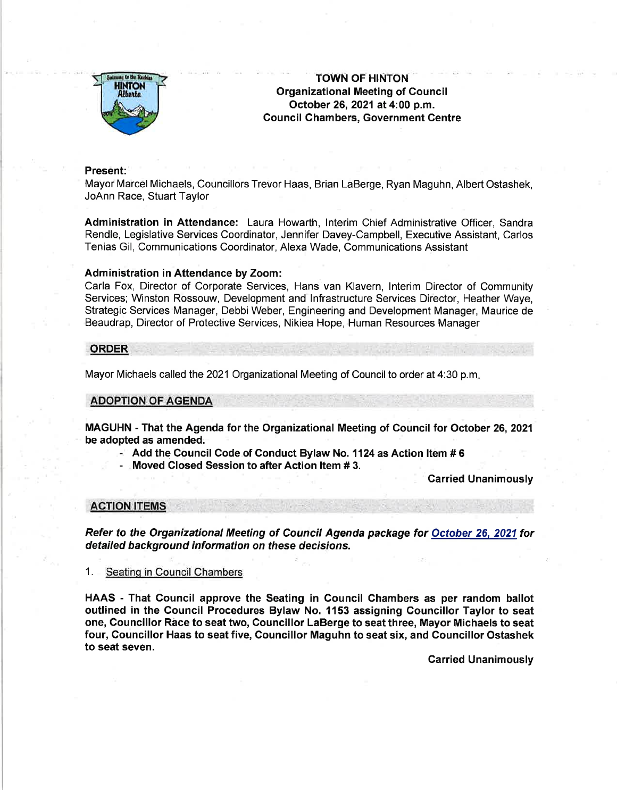

TOWN OF HINTON Organizational Meeting of Council October 26,2021at 4:00 p.m. Gouncil Chambers, Government Gentre

### Present:

Mayor Marcel Michaels, Councillors Trevor Haas, Brian LaBerge, Ryan Maguhn, Albert Ostashek, JoAnn Race, Stuart Taylor

Administration in Attendance: Laura Howarth, lnterim Chief Administrative Officer, Sandra Rendle, Legislative Services Coordinator, Jennifer Davey-Campbell, Executive Assistant, Carlos Tenias Gil, Communications Coordinator, Alexa Wade, Communications Assistant

# Administration in Attendance by Zoom:

Carla Fox, Director of Corporate Services, Hans van Klavern, lnterim Director of Community Services; Winston Rossouw, Development and lnfrastructure Services Director, Heather Waye, Strategic Services Manager, Debbi Weber, Engineering and Development Manager, Maurice de Beaudrap, Director of Protective Services, Nikiea Hope, Human Resources Manager

# ORDER

Mayor Michaels called the 2021 Organizational Meeting of Council to order at 4:30 p.m

# ADOPTION OF AGENDA

MAGUHN - That the Agenda for the Organizational Meeting of Council for October 26,2021 be adopted as amended.

 $-$  Add the Council Code of Conduct Bylaw No. 1124 as Action Item # 6

- Moved Closed Session to after Action ltem # 3.

Carried Unanimously

### AGTION ITEMS

Refer to the Organizational Meeting of Council Agenda package for October 26. 2021 for detailed background information on these decisions.

Seating in Council Chambers

HAAS - That Council approve the Seating in Council Chambers as per random ballot outlined in the Council Procedures Bylaw No. 1153 assigning Councillor Taylor to seat one, Gouncillor Rice to seat two, Councillor LaBerge to seat three, Mayor Michaels to seat four, Councillor Haas to seat five, Gouncillor Maguhn to seat six, and Councillor Ostashek to seat seven.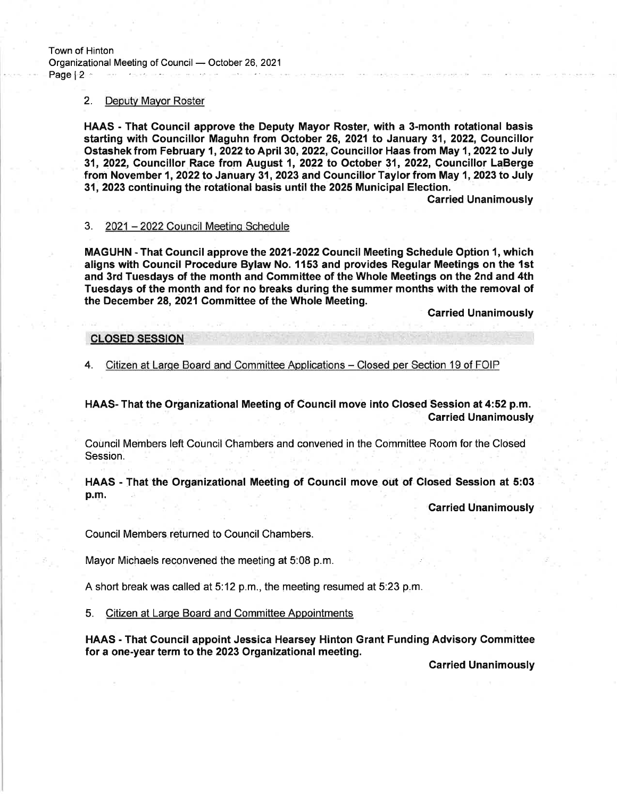### 2. Deputv Mavor Roster

HAAS - That Gouncil approve the Deputy Mayor Roster, with a 3-month rotational basis starting with Councillor Maguhn from October 26, 2021 to January 31, 2022, Gouncillor Ostashek from February 1, 2022 to April 30, 2022, Councillor Haas from May 1, 2022 to July 31, 2022, Councillor Race from August 1, 2O22 to October 31, 2022, Councillor LaBerge from November 1, 2022 to January 31, 2023 and Councillor Taylor from May 1, 2023 to July 31,2023 continuing the rotational basis until the 2025 Municipal Election.

Carried Unanimously

#### 3. 2021 - 2022 Council Meetinq Schedule

MAGUHN - That Council approve the 2021-2022 Council Meeting Schedule Option 1, which aligns with Gouncil Procedure Bylaw No. 1153 and provides Regular Meetings on the 1st and 3rd Tuesdays of the month and Committee of the Whole Meetings on the 2nd and 4th Tuesdays of the month and for no breaks during the summer months with the removal of the December 28, 2021 Committee of the Whole Meeting.

Carried Unanimously

## CLOSED SESSION

4. Citizen at Large Board and Committee Applications - Closed per Section 19 of FOIP

HAAS- That the Organizational Meeting of Council move into Glosed Session at 4:52 p.m. Carried Unanimously

Council Members left Council Chambers and convened in the Committee Room for the Closed Session.

HAAS - That the Organizational Meeting of Gouncil move out of Closed Session at 5:03 p.m.

carried Unanimously

Council Members returned to Council Chambers.

Mayor Michaels reconvened the meeting at 5:08 p.m.

A short break was called at 5:12 p.m., the meeting resumed at 5:23 p.m.

5. Citizen at Large Board and Committee Appointments

HAAS - That Council appoint Jessica Hearsey Hinton Grant Funding Advisory Committee for a one-year term to the 2023 Organizational meeting.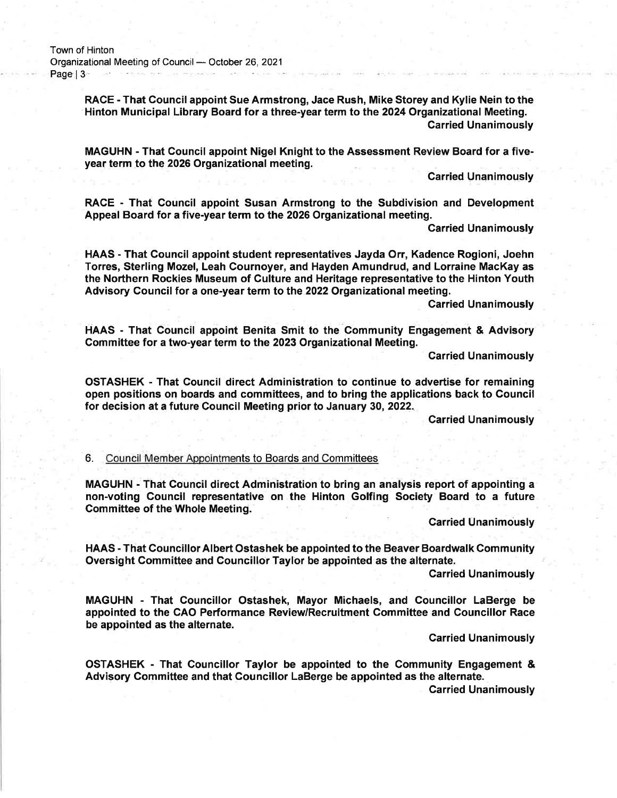RACE - That Council appoint Sue Armstrong, Jace Rush, Mike Storey and Kylie Nein to the Hinton Municipal Library Board for a three-year term to the 2024 Organizational Meeting. Garried Unanimously

MAGUHN - That Council appoint Nigel Knight to the Assessment Review Board for a fiveyear term to the 2026 Organizational meeting.

**Carried Unanimously** 

RACE - That Council appoint Susan Armstrong to the Subdivision and Development Appeal Board for a five-year term to the 2026 Organizational meeting.

Garried Unanimously

HAAS - That Gouncil appoint student representatives Jayda Orr, Kadence Rogioni, Joehn Torres, Sterling Mozel, Leah Cournoyer, and Hayden Amundrud, and Lorraine MacKay as the Northern Rockies Museum of Culture and Heritage representative to the Hinton Youth Advisory Council for a one-year term to the 2022 Organizational meeting.

Carried Unanimously

HAAS - That Council appoint Benita Smit to the Community Engagement & Advisory Committee for a two-year term to the 2023 Organizational Meeting.

Carried Unanimously

OSTASHEK - That Council direct Administration to continue to advertise for remaining open positions on boards and committees, and to bring the applications back to Council for decision at a future Council Meeting prior to January 30,2022.

Carried Unanimously

6. Council Member Aopointments to Boards and Committees

MAGUHN - That Council direct Administration to bring an analysis report of appointing a non-voting Gouncil representative on the Hinton Golfing Society Board to a future Gommittee of the Whole Meeting.

Garried Unanimously

HAAS - That CouncillorAlbert Ostashek be appointed to the Beaver Boardwalk Community Oversight Committee and Councillor Taylor be appointed as the alternate.

**Carried Unanimously** 

MAGUHN - That Councillor Ostashek, Mayor Michaels, and Gouncillor LaBerge be appointed to the CAO Performance Review/Recruitment Committee and Councillor Race be appointed as the alternate.

**Carried Unanimously** 

OSTASHEK - That Councillor Taylor be appointed to the Community Engagement & Advisory Committee and that Gouncillor LaBerge be appointed as the alternate.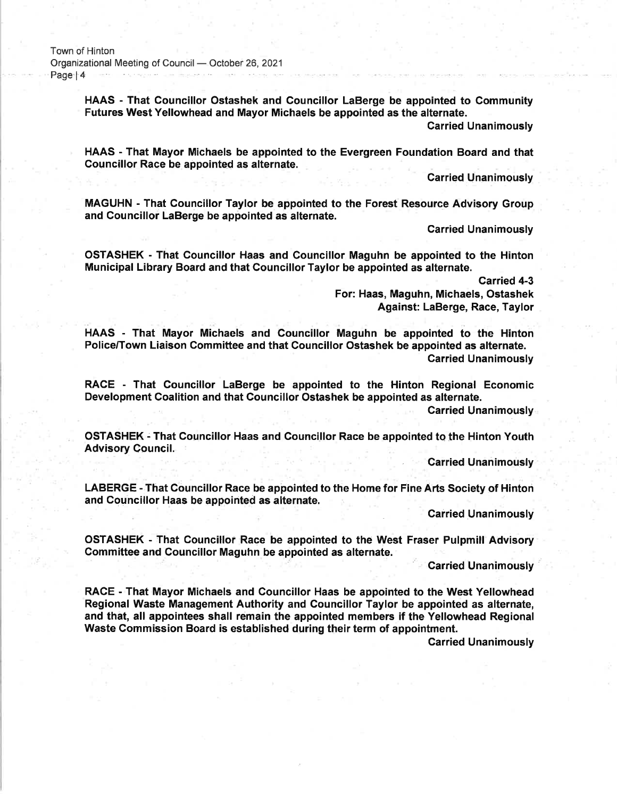HAAS - That Councillor Ostashek and Councillor LaBerge be appointed to Community Futures West Yellowhead and Mayor Michaels be appointed as the alternate.

Garried Unanimously

HAAS - That Mayor Michaels be appointed to the Evergreen Foundation Board and that Councillor Race be appointed as alternate.

**Carried Unanimously** 

MAGUHN - That Councillor Taylor be appointed to the Forest Resource Advisory Group and Councillor LaBerge be appointed as alternate.

Carried Unanimously

OSTASHEK - That Councillor Haas and Councillor Maguhn be appointed to the Hinton Municipal Library Board and that Councillor Taylor be appointed as alternate.

Carried 4-3<br>For: Haas, Maguhn, Michaels, Ostashek Against: LaBerge, Race, Taylor

HAAS - That Mayor Michaels and Gouncillor Maguhn be appointed to the Hinton Policeffown Liaison Committee and that Councillor Ostashek be appointed as alternate. Carried Unanimously

RACE - That Councillor LaBerge be appointed to the Hinton Regional Economic Development Coalition and that Councillor Ostashek be appointed as alternate.

Carried Unanimously

OSTASHEK - That Councillor Haas and Gouncillor Race be appointed to the Hinton Youth Advisory Council.

Carried Unanimously

LABERGE - That Councillor Race be appointed to the Home for Fine Arts Society of Hinton and Councillor Haas be appointed as aiternate.

Carried Unanimously

OSTASHEK - That Gouncillor Race be appointed to the West Fraser Pulpmill Advisory Committee and Councillor Maguhn be appointed as alternate.

**Carried Unanimously** 

RACE - That Mayor Michaels and Councillor Haas be appointed to the West Yellowhead Regional Waste Management Authority and Gouncillor Taylor be appointed as alternate, and that, all appointees shall remain the appointed members if the Yellowhead Regional Waste Commission Board is established during their term of appointment.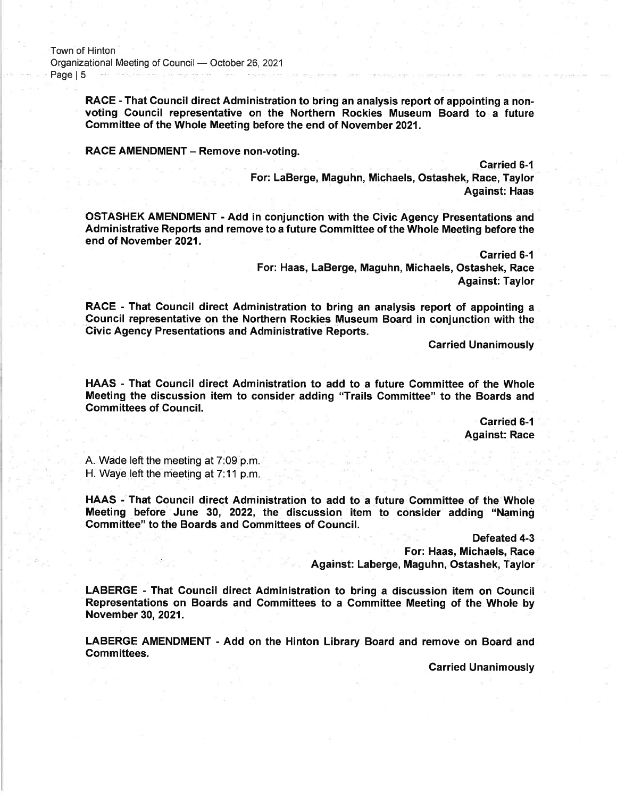Town of Hinton Organizational Meeting of Council October 26,2021 and the company of the same service Page | 5

> RACE - That Council direct Administration to bring an analysis report of appointing a nonvoting Council representative on the Northern Rockies Museum Board to a future Committee of the Whole Meeting before the end of November 2021.

RACE AMENDMENT - Remove non-voting.

Carried 6-l

For: LaBerge, Maguhn, Michaels, Ostashek, Race, Taylor Against: Haas

OSTASHEK AMENDMENT - Add in conjunction with the Givic Agency Presentations and Administrative Reports and remove to a future Committee of the Whole Meeting before the end of November 2021.

> carried 6-1 For: Haas, LaBerge, Maguhn, Michaels, Ostashek, Race Against: Taylor

RACE - That Council direct Administration to bring an analysis report of appointing a Council representative on the Northern Rockies Museum Board in conjunction with the Givic Agency Presentations and Administrative Reports.

Carried Unanimously

HAAS - That Council direct Administration to add to a future Committee of the Whole Meeting the discussion item to consider adding "Trails Committee" to the Boards and Committees of Council.

> Carried 6-1 Against: Race

A. Wade left the meeting at 7:09 p.m. H. Wave left the meeting at  $7:11$  p.m.

HAAS - That Council direct Administration to add to a future Committee of the Whole Meeting before June 30, 2022, the discussion item to consider adding "Naming Committee" to the Boards and Committees of Council.

> Defeated 4-3 For: Haas, Michaels, Race

Against: Laberge, Maguhn, Ostashek, Taylor

LABERGE - That Council direct Administration to bring a discussion item on Gouncil Representations on Boards and Committees to a Committee Meeting of the Whole by November 30,2021.

LABERGE AMENDMENT - Add on the Hinton Library Board and remove on Board and Committees.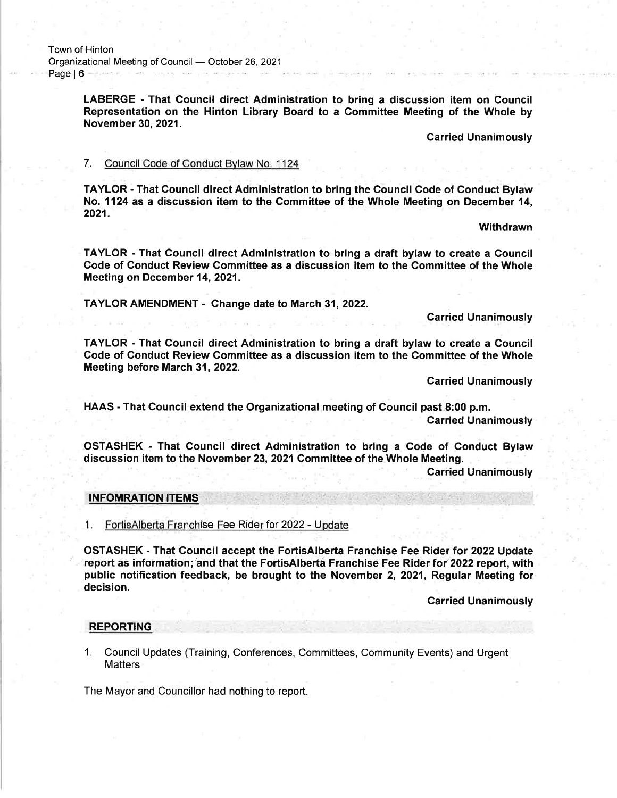LABERGE - That Council direct Administration to bring a discussion item on Council Representation on the Hinton Library Board to a Committee Meeting of the Whole by November 30, 2021.

Carried Unanimously

### 7. Council Code of Conduct Bvlaw No. <sup>1124</sup>

TAYLOR - That Council direct Administration to bring the Council Gode of Conduct Bylaw No. 1124 as a discussion item to the Committee of the Whole Meeting on December 14, 2021.

Withdrawn

TAYLOR - That Council direct Administration to bring a draft bylaw to create a Council Code of Gonduct Review Committee as a discussion item to the Committee of the Whole Meeting on December 14, 2021.

TAYLOR AMENDMENT - Change date to March 31,2022.

Carried Unanimously

TAYLOR - That Council direct Administration to bring a draft bylaw to create a Council Code of Conduct Review Committee as a discussion item to the Committee of the Whole Meeting before March 31,2022.

Carried Unanimously

HAAS - That Council extend the Organizational meeting of Council past 8:00 p.m.

Carried Unanimously

OSTASHEK - That Council direct Administration to bring a Code of Conduct Bylaw discussion item to the November 23, 2021 Committee of the Whole Meeting.

: Carried Unanimously

### INFOMRATION ITEMS

1. Fortis Alberta Franchise Fee Rider for 2022 - Update

OSTASHEK - That Gouncil accept the FortisAlberta Franchise Fee Rider for 2022 Update report as information; and that the FortisAlberta Franchise Fee Rider for 2022 report, with public notification feedback, be brought to the November 2, 2021, Regular Meeting for<br>decision.

**Carried Unanimously** 

### REPORTING

1. Council Updates (Training, Conferences, Committees, Community Events) and Urgent **Matters** 

The Mayor and Councillor had nothing to report.